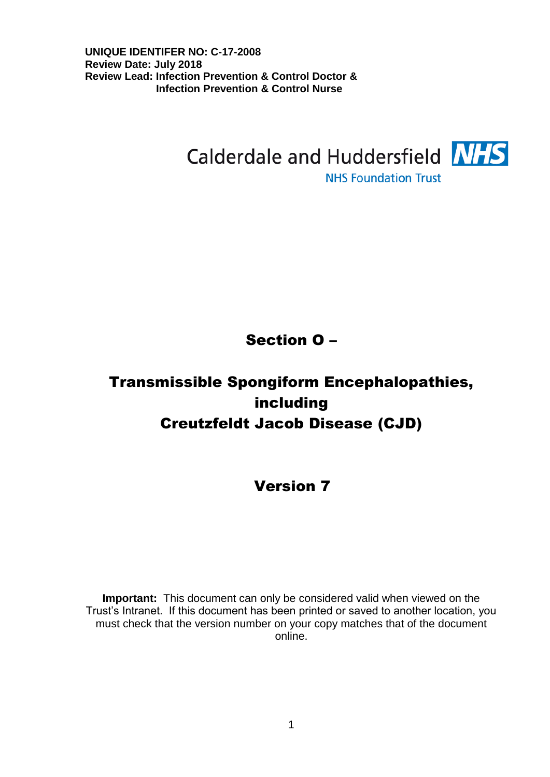

**NHS Foundation Trust** 

# Section O –

# Transmissible Spongiform Encephalopathies, including Creutzfeldt Jacob Disease (CJD)

# Version 7

**Important:** This document can only be considered valid when viewed on the Trust's Intranet. If this document has been printed or saved to another location, you must check that the version number on your copy matches that of the document online.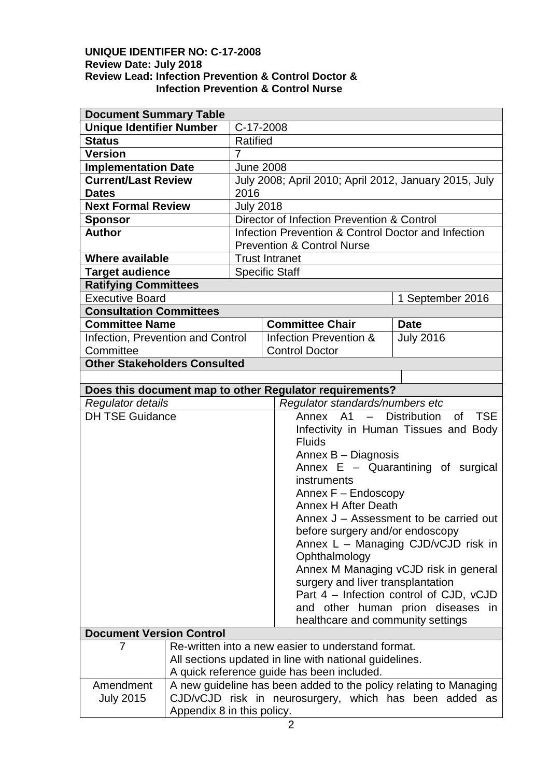| <b>Document Summary Table</b>                                        |                            |                                                                   |                                       |                                                         |                  |  |
|----------------------------------------------------------------------|----------------------------|-------------------------------------------------------------------|---------------------------------------|---------------------------------------------------------|------------------|--|
| <b>Unique Identifier Number</b>                                      |                            | C-17-2008                                                         |                                       |                                                         |                  |  |
| <b>Status</b>                                                        |                            | <b>Ratified</b>                                                   |                                       |                                                         |                  |  |
| <b>Version</b>                                                       |                            | 7                                                                 |                                       |                                                         |                  |  |
| <b>Implementation Date</b>                                           |                            | <b>June 2008</b>                                                  |                                       |                                                         |                  |  |
| <b>Current/Last Review</b>                                           |                            |                                                                   |                                       | July 2008; April 2010; April 2012, January 2015, July   |                  |  |
| <b>Dates</b>                                                         |                            | 2016                                                              |                                       |                                                         |                  |  |
| <b>Next Formal Review</b>                                            |                            | <b>July 2018</b>                                                  |                                       |                                                         |                  |  |
| <b>Sponsor</b>                                                       |                            |                                                                   |                                       | Director of Infection Prevention & Control              |                  |  |
| <b>Author</b>                                                        |                            | Infection Prevention & Control Doctor and Infection               |                                       |                                                         |                  |  |
|                                                                      |                            | <b>Prevention &amp; Control Nurse</b>                             |                                       |                                                         |                  |  |
| <b>Where available</b>                                               |                            | <b>Trust Intranet</b>                                             |                                       |                                                         |                  |  |
| <b>Target audience</b>                                               |                            |                                                                   |                                       | <b>Specific Staff</b>                                   |                  |  |
| <b>Ratifying Committees</b>                                          |                            |                                                                   |                                       |                                                         |                  |  |
| <b>Executive Board</b>                                               |                            |                                                                   |                                       |                                                         | 1 September 2016 |  |
| <b>Consultation Committees</b>                                       |                            |                                                                   |                                       |                                                         |                  |  |
| <b>Committee Name</b>                                                |                            |                                                                   |                                       | <b>Committee Chair</b>                                  | <b>Date</b>      |  |
| Infection, Prevention and Control                                    |                            |                                                                   |                                       | Infection Prevention &                                  | <b>July 2016</b> |  |
| Committee                                                            |                            |                                                                   |                                       | <b>Control Doctor</b>                                   |                  |  |
| <b>Other Stakeholders Consulted</b>                                  |                            |                                                                   |                                       |                                                         |                  |  |
|                                                                      |                            |                                                                   |                                       |                                                         |                  |  |
|                                                                      |                            |                                                                   |                                       | Does this document map to other Regulator requirements? |                  |  |
| <b>Regulator details</b>                                             |                            |                                                                   |                                       | Regulator standards/numbers etc                         |                  |  |
| <b>DH TSE Guidance</b>                                               |                            |                                                                   |                                       | Annex A1 - Distribution<br>of TSE                       |                  |  |
|                                                                      |                            |                                                                   | Infectivity in Human Tissues and Body |                                                         |                  |  |
|                                                                      |                            |                                                                   | <b>Fluids</b>                         |                                                         |                  |  |
|                                                                      |                            |                                                                   |                                       | Annex B - Diagnosis                                     |                  |  |
|                                                                      |                            |                                                                   |                                       | Annex $E -$ Quarantining of surgical                    |                  |  |
|                                                                      |                            |                                                                   |                                       | instruments                                             |                  |  |
|                                                                      |                            |                                                                   |                                       | Annex F - Endoscopy                                     |                  |  |
|                                                                      |                            |                                                                   |                                       | <b>Annex H After Death</b>                              |                  |  |
|                                                                      |                            |                                                                   |                                       | Annex J – Assessment to be carried out                  |                  |  |
|                                                                      |                            |                                                                   |                                       | before surgery and/or endoscopy                         |                  |  |
|                                                                      |                            |                                                                   |                                       | Annex L - Managing CJD/vCJD risk in                     |                  |  |
|                                                                      |                            |                                                                   |                                       | Ophthalmology                                           |                  |  |
|                                                                      |                            |                                                                   |                                       | Annex M Managing vCJD risk in general                   |                  |  |
|                                                                      |                            |                                                                   |                                       | surgery and liver transplantation                       |                  |  |
|                                                                      |                            |                                                                   |                                       | Part 4 - Infection control of CJD, vCJD                 |                  |  |
|                                                                      |                            |                                                                   |                                       | and other human prion diseases in                       |                  |  |
| healthcare and community settings<br><b>Document Version Control</b> |                            |                                                                   |                                       |                                                         |                  |  |
|                                                                      |                            |                                                                   |                                       |                                                         |                  |  |
| 7                                                                    |                            |                                                                   |                                       | Re-written into a new easier to understand format.      |                  |  |
|                                                                      |                            | All sections updated in line with national guidelines.            |                                       |                                                         |                  |  |
|                                                                      |                            |                                                                   |                                       | A quick reference guide has been included.              |                  |  |
| Amendment                                                            |                            | A new guideline has been added to the policy relating to Managing |                                       |                                                         |                  |  |
| <b>July 2015</b>                                                     |                            | CJD/vCJD risk in neurosurgery, which has been added as            |                                       |                                                         |                  |  |
|                                                                      | Appendix 8 in this policy. |                                                                   |                                       |                                                         |                  |  |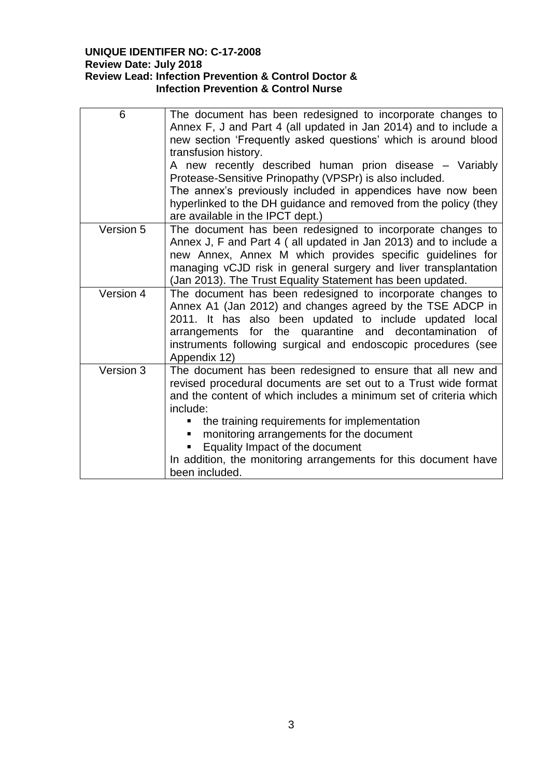| 6         | The document has been redesigned to incorporate changes to<br>Annex F, J and Part 4 (all updated in Jan 2014) and to include a<br>new section 'Frequently asked questions' which is around blood<br>transfusion history.<br>A new recently described human prion disease – Variably<br>Protease-Sensitive Prinopathy (VPSPr) is also included.<br>The annex's previously included in appendices have now been<br>hyperlinked to the DH guidance and removed from the policy (they<br>are available in the IPCT dept.) |
|-----------|-----------------------------------------------------------------------------------------------------------------------------------------------------------------------------------------------------------------------------------------------------------------------------------------------------------------------------------------------------------------------------------------------------------------------------------------------------------------------------------------------------------------------|
| Version 5 | The document has been redesigned to incorporate changes to<br>Annex J, F and Part 4 ( all updated in Jan 2013) and to include a<br>new Annex, Annex M which provides specific guidelines for<br>managing vCJD risk in general surgery and liver transplantation<br>(Jan 2013). The Trust Equality Statement has been updated.                                                                                                                                                                                         |
| Version 4 | The document has been redesigned to incorporate changes to<br>Annex A1 (Jan 2012) and changes agreed by the TSE ADCP in<br>2011. It has also been updated to include updated local<br>arrangements for the quarantine and decontamination of<br>instruments following surgical and endoscopic procedures (see<br>Appendix 12)                                                                                                                                                                                         |
| Version 3 | The document has been redesigned to ensure that all new and<br>revised procedural documents are set out to a Trust wide format<br>and the content of which includes a minimum set of criteria which<br>include:<br>the training requirements for implementation<br>٠<br>monitoring arrangements for the document<br>Equality Impact of the document<br>In addition, the monitoring arrangements for this document have<br>been included.                                                                              |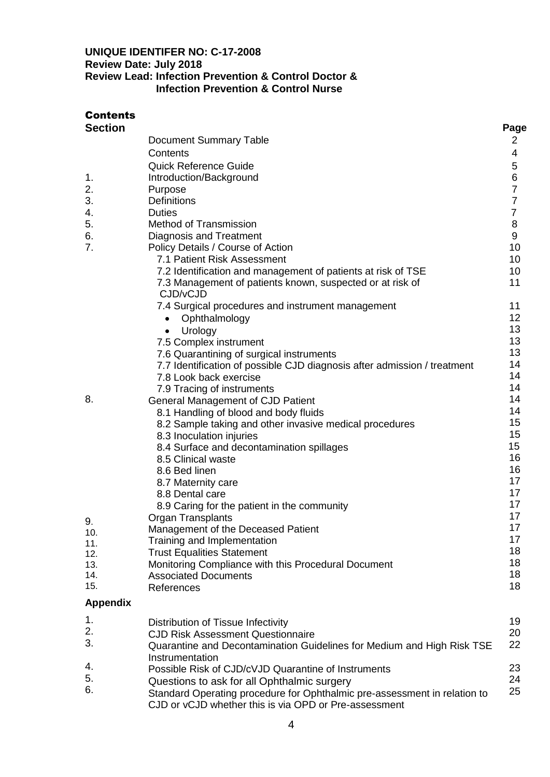| <b>Contents</b> |                                                                           |                 |
|-----------------|---------------------------------------------------------------------------|-----------------|
| <b>Section</b>  | Document Summary Table                                                    | Page<br>2       |
|                 | Contents                                                                  | 4               |
|                 | <b>Quick Reference Guide</b>                                              | 5               |
| 1.              | Introduction/Background                                                   | 6               |
| 2.              | Purpose                                                                   | $\overline{7}$  |
| 3.              | <b>Definitions</b>                                                        | $\overline{7}$  |
| 4.              | <b>Duties</b>                                                             | $\overline{7}$  |
| 5.              | Method of Transmission                                                    | 8               |
| 6.              | Diagnosis and Treatment                                                   | 9               |
| 7.              | Policy Details / Course of Action<br>7.1 Patient Risk Assessment          | 10<br>10        |
|                 | 7.2 Identification and management of patients at risk of TSE              | 10              |
|                 | 7.3 Management of patients known, suspected or at risk of                 | 11              |
|                 | CJD/vCJD                                                                  |                 |
|                 | 7.4 Surgical procedures and instrument management                         | 11              |
|                 | Ophthalmology<br>$\bullet$                                                | 12 <sub>2</sub> |
|                 | Urology<br>$\bullet$                                                      | 13              |
|                 | 7.5 Complex instrument                                                    | 13              |
|                 | 7.6 Quarantining of surgical instruments                                  | 13              |
|                 | 7.7 Identification of possible CJD diagnosis after admission / treatment  | 14              |
|                 | 7.8 Look back exercise                                                    | 14              |
|                 | 7.9 Tracing of instruments                                                | 14              |
| 8.              | General Management of CJD Patient                                         | 14              |
|                 | 8.1 Handling of blood and body fluids                                     | 14<br>15        |
|                 | 8.2 Sample taking and other invasive medical procedures                   | 15              |
|                 | 8.3 Inoculation injuries<br>8.4 Surface and decontamination spillages     | 15              |
|                 | 8.5 Clinical waste                                                        | 16              |
|                 | 8.6 Bed linen                                                             | 16              |
|                 | 8.7 Maternity care                                                        | 17              |
|                 | 8.8 Dental care                                                           | 17              |
|                 | 8.9 Caring for the patient in the community                               | 17              |
| 9.              | <b>Organ Transplants</b>                                                  | 17              |
| 10.             | Management of the Deceased Patient                                        | 17              |
| 11.             | Training and Implementation                                               | 17              |
| 12.             | <b>Trust Equalities Statement</b>                                         | 18              |
| 13.             | Monitoring Compliance with this Procedural Document                       | 18<br>18        |
| 14.<br>15.      | <b>Associated Documents</b>                                               | 18              |
|                 | References                                                                |                 |
| <b>Appendix</b> |                                                                           |                 |
| 1.              | Distribution of Tissue Infectivity                                        | 19              |
| 2.              | <b>CJD Risk Assessment Questionnaire</b>                                  | 20              |
| 3.              | Quarantine and Decontamination Guidelines for Medium and High Risk TSE    | 22              |
|                 | Instrumentation                                                           |                 |
| 4.              | Possible Risk of CJD/cVJD Quarantine of Instruments                       | 23              |
| 5.              | Questions to ask for all Ophthalmic surgery                               | 24              |
| 6.              | Standard Operating procedure for Ophthalmic pre-assessment in relation to | 25              |

CJD or vCJD whether this is via OPD or Pre-assessment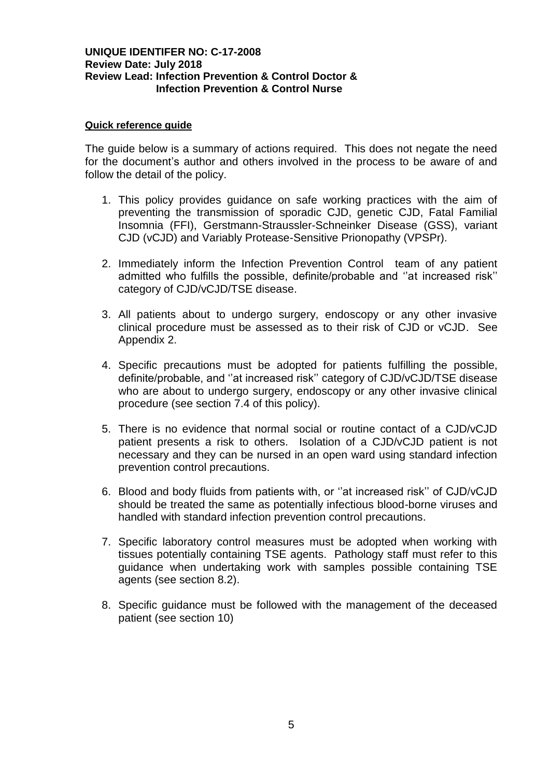#### **Quick reference guide**

The guide below is a summary of actions required. This does not negate the need for the document's author and others involved in the process to be aware of and follow the detail of the policy.

- 1. This policy provides guidance on safe working practices with the aim of preventing the transmission of sporadic CJD, genetic CJD, Fatal Familial Insomnia (FFI), Gerstmann-Straussler-Schneinker Disease (GSS), variant CJD (vCJD) and Variably Protease-Sensitive Prionopathy (VPSPr).
- 2. Immediately inform the Infection Prevention Control team of any patient admitted who fulfills the possible, definite/probable and ''at increased risk'' category of CJD/vCJD/TSE disease.
- 3. All patients about to undergo surgery, endoscopy or any other invasive clinical procedure must be assessed as to their risk of CJD or vCJD. See Appendix 2.
- 4. Specific precautions must be adopted for patients fulfilling the possible, definite/probable, and ''at increased risk'' category of CJD/vCJD/TSE disease who are about to undergo surgery, endoscopy or any other invasive clinical procedure (see section 7.4 of this policy).
- 5. There is no evidence that normal social or routine contact of a CJD/vCJD patient presents a risk to others. Isolation of a CJD/vCJD patient is not necessary and they can be nursed in an open ward using standard infection prevention control precautions.
- 6. Blood and body fluids from patients with, or ''at increased risk'' of CJD/vCJD should be treated the same as potentially infectious blood-borne viruses and handled with standard infection prevention control precautions.
- 7. Specific laboratory control measures must be adopted when working with tissues potentially containing TSE agents. Pathology staff must refer to this guidance when undertaking work with samples possible containing TSE agents (see section 8.2).
- 8. Specific guidance must be followed with the management of the deceased patient (see section 10)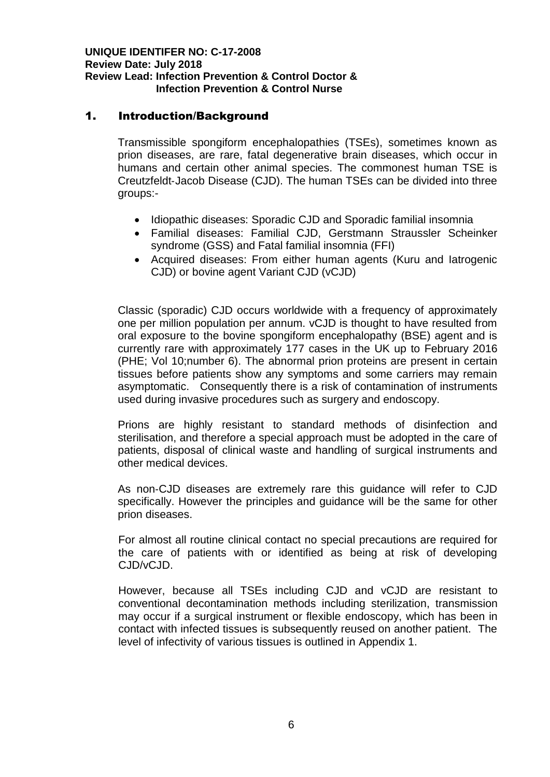## 1. Introduction/Background

Transmissible spongiform encephalopathies (TSEs), sometimes known as prion diseases, are rare, fatal degenerative brain diseases, which occur in humans and certain other animal species. The commonest human TSE is Creutzfeldt‐Jacob Disease (CJD). The human TSEs can be divided into three groups:-

- Idiopathic diseases: Sporadic CJD and Sporadic familial insomnia
- Familial diseases: Familial CJD, Gerstmann Straussler Scheinker syndrome (GSS) and Fatal familial insomnia (FFI)
- Acquired diseases: From either human agents (Kuru and latrogenic CJD) or bovine agent Variant CJD (vCJD)

Classic (sporadic) CJD occurs worldwide with a frequency of approximately one per million population per annum. vCJD is thought to have resulted from oral exposure to the bovine spongiform encephalopathy (BSE) agent and is currently rare with approximately 177 cases in the UK up to February 2016 (PHE; Vol 10;number 6). The abnormal prion proteins are present in certain tissues before patients show any symptoms and some carriers may remain asymptomatic. Consequently there is a risk of contamination of instruments used during invasive procedures such as surgery and endoscopy.

Prions are highly resistant to standard methods of disinfection and sterilisation, and therefore a special approach must be adopted in the care of patients, disposal of clinical waste and handling of surgical instruments and other medical devices.

As non‐CJD diseases are extremely rare this guidance will refer to CJD specifically. However the principles and guidance will be the same for other prion diseases.

For almost all routine clinical contact no special precautions are required for the care of patients with or identified as being at risk of developing CJD/vCJD.

However, because all TSEs including CJD and vCJD are resistant to conventional decontamination methods including sterilization, transmission may occur if a surgical instrument or flexible endoscopy, which has been in contact with infected tissues is subsequently reused on another patient. The level of infectivity of various tissues is outlined in Appendix 1.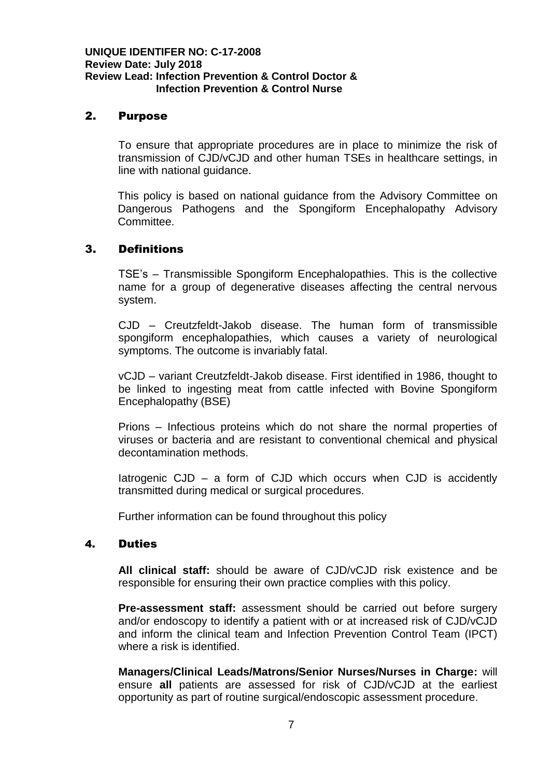## 2. Purpose

To ensure that appropriate procedures are in place to minimize the risk of transmission of CJD/vCJD and other human TSEs in healthcare settings, in line with national guidance.

This policy is based on national guidance from the Advisory Committee on Dangerous Pathogens and the Spongiform Encephalopathy Advisory Committee.

# 3. Definitions

TSE's – Transmissible Spongiform Encephalopathies. This is the collective name for a group of degenerative diseases affecting the central nervous system.

CJD – Creutzfeldt-Jakob disease. The human form of transmissible spongiform encephalopathies, which causes a variety of neurological symptoms. The outcome is invariably fatal.

vCJD – variant Creutzfeldt-Jakob disease. First identified in 1986, thought to be linked to ingesting meat from cattle infected with Bovine Spongiform Encephalopathy (BSE)

Prions – Infectious proteins which do not share the normal properties of viruses or bacteria and are resistant to conventional chemical and physical decontamination methods.

Iatrogenic CJD – a form of CJD which occurs when CJD is accidently transmitted during medical or surgical procedures.

Further information can be found throughout this policy

## 4. Duties

**All clinical staff:** should be aware of CJD/vCJD risk existence and be responsible for ensuring their own practice complies with this policy.

**Pre-assessment staff:** assessment should be carried out before surgery and/or endoscopy to identify a patient with or at increased risk of CJD/vCJD and inform the clinical team and Infection Prevention Control Team (IPCT) where a risk is identified.

**Managers/Clinical Leads/Matrons/Senior Nurses/Nurses in Charge:** will ensure **all** patients are assessed for risk of CJD/vCJD at the earliest opportunity as part of routine surgical/endoscopic assessment procedure.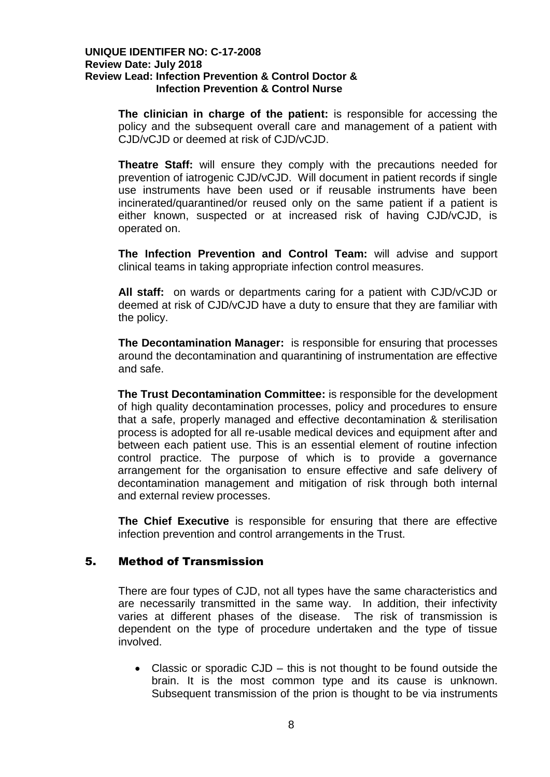**The clinician in charge of the patient:** is responsible for accessing the policy and the subsequent overall care and management of a patient with CJD/vCJD or deemed at risk of CJD/vCJD.

**Theatre Staff:** will ensure they comply with the precautions needed for prevention of iatrogenic CJD/vCJD. Will document in patient records if single use instruments have been used or if reusable instruments have been incinerated/quarantined/or reused only on the same patient if a patient is either known, suspected or at increased risk of having CJD/vCJD, is operated on.

**The Infection Prevention and Control Team:** will advise and support clinical teams in taking appropriate infection control measures.

**All staff:** on wards or departments caring for a patient with CJD/vCJD or deemed at risk of CJD/vCJD have a duty to ensure that they are familiar with the policy.

**The Decontamination Manager:** is responsible for ensuring that processes around the decontamination and quarantining of instrumentation are effective and safe.

**The Trust Decontamination Committee:** is responsible for the development of high quality decontamination processes, policy and procedures to ensure that a safe, properly managed and effective decontamination & sterilisation process is adopted for all re-usable medical devices and equipment after and between each patient use. This is an essential element of routine infection control practice. The purpose of which is to provide a governance arrangement for the organisation to ensure effective and safe delivery of decontamination management and mitigation of risk through both internal and external review processes.

**The Chief Executive** is responsible for ensuring that there are effective infection prevention and control arrangements in the Trust.

## 5. Method of Transmission

There are four types of CJD, not all types have the same characteristics and are necessarily transmitted in the same way. In addition, their infectivity varies at different phases of the disease. The risk of transmission is dependent on the type of procedure undertaken and the type of tissue involved.

• Classic or sporadic CJD – this is not thought to be found outside the brain. It is the most common type and its cause is unknown. Subsequent transmission of the prion is thought to be via instruments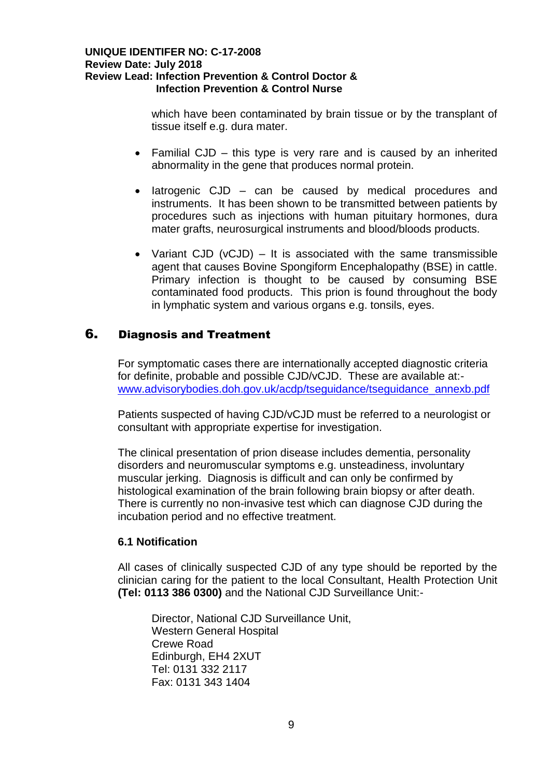which have been contaminated by brain tissue or by the transplant of tissue itself e.g. dura mater.

- Familial CJD this type is very rare and is caused by an inherited abnormality in the gene that produces normal protein.
- latrogenic CJD can be caused by medical procedures and instruments. It has been shown to be transmitted between patients by procedures such as injections with human pituitary hormones, dura mater grafts, neurosurgical instruments and blood/bloods products.
- Variant CJD (vCJD) It is associated with the same transmissible agent that causes Bovine Spongiform Encephalopathy (BSE) in cattle. Primary infection is thought to be caused by consuming BSE contaminated food products. This prion is found throughout the body in lymphatic system and various organs e.g. tonsils, eyes.

# 6. Diagnosis and Treatment

For symptomatic cases there are internationally accepted diagnostic criteria for definite, probable and possible CJD/vCJD. These are available at: [www.advisorybodies.doh.gov.uk/acdp/tseguidance/tseguidance\\_annexb.pdf](http://www.advisorybodies.doh.gov.uk/acdp/tseguidance/tseguidance_annexb.pdf)

Patients suspected of having CJD/vCJD must be referred to a neurologist or consultant with appropriate expertise for investigation.

The clinical presentation of prion disease includes dementia, personality disorders and neuromuscular symptoms e.g. unsteadiness, involuntary muscular jerking. Diagnosis is difficult and can only be confirmed by histological examination of the brain following brain biopsy or after death. There is currently no non-invasive test which can diagnose CJD during the incubation period and no effective treatment.

## **6.1 Notification**

All cases of clinically suspected CJD of any type should be reported by the clinician caring for the patient to the local Consultant, Health Protection Unit **(Tel: 0113 386 0300)** and the National CJD Surveillance Unit:-

Director, National CJD Surveillance Unit, Western General Hospital Crewe Road Edinburgh, EH4 2XUT Tel: 0131 332 2117 Fax: 0131 343 1404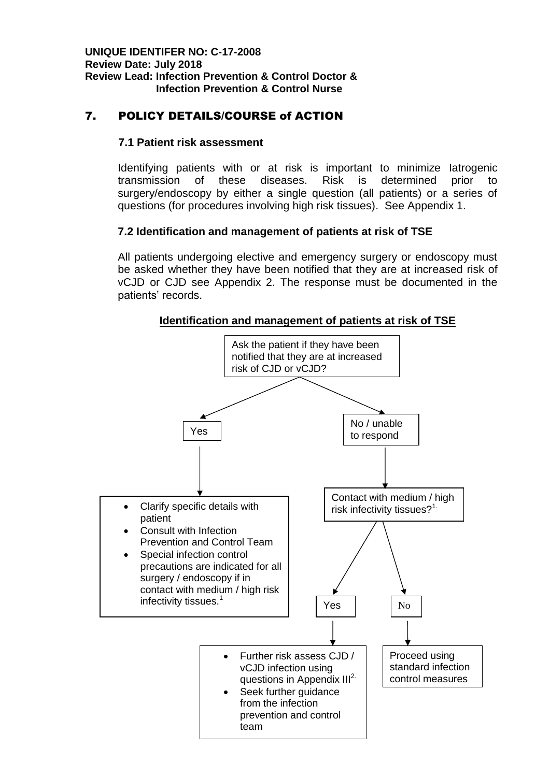# 7. POLICY DETAILS/COURSE of ACTION

## **7.1 Patient risk assessment**

Identifying patients with or at risk is important to minimize Iatrogenic transmission of these diseases. Risk is determined prior to surgery/endoscopy by either a single question (all patients) or a series of questions (for procedures involving high risk tissues). See Appendix 1.

## **7.2 Identification and management of patients at risk of TSE**

All patients undergoing elective and emergency surgery or endoscopy must be asked whether they have been notified that they are at increased risk of vCJD or CJD see Appendix 2. The response must be documented in the patients' records.



**Identification and management of patients at risk of TSE**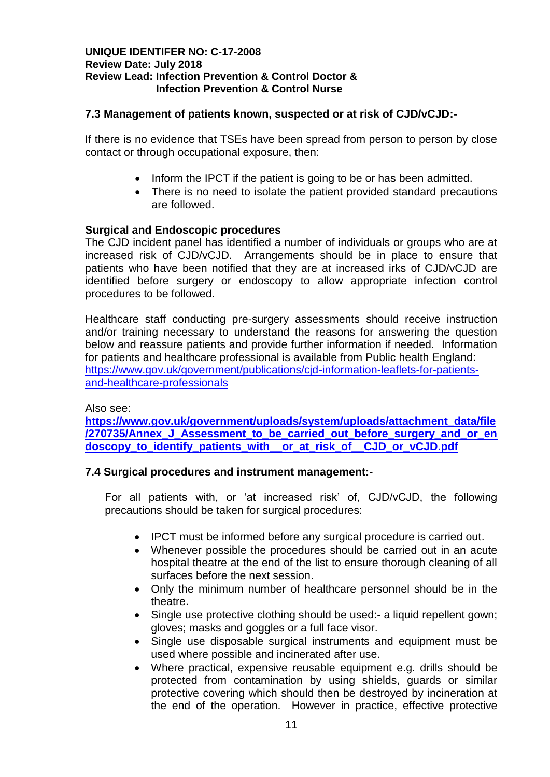## **7.3 Management of patients known, suspected or at risk of CJD/vCJD:-**

If there is no evidence that TSEs have been spread from person to person by close contact or through occupational exposure, then:

- Inform the IPCT if the patient is going to be or has been admitted.
- There is no need to isolate the patient provided standard precautions are followed.

## **Surgical and Endoscopic procedures**

The CJD incident panel has identified a number of individuals or groups who are at increased risk of CJD/vCJD. Arrangements should be in place to ensure that patients who have been notified that they are at increased irks of CJD/vCJD are identified before surgery or endoscopy to allow appropriate infection control procedures to be followed.

Healthcare staff conducting pre-surgery assessments should receive instruction and/or training necessary to understand the reasons for answering the question below and reassure patients and provide further information if needed. Information for patients and healthcare professional is available from Public health England: [https://www.gov.uk/government/publications/cjd-information-leaflets-for-patients](https://www.gov.uk/government/publications/cjd-information-leaflets-for-patients-and-healthcare-professionals)[and-healthcare-professionals](https://www.gov.uk/government/publications/cjd-information-leaflets-for-patients-and-healthcare-professionals)

## Also see:

**[https://www.gov.uk/government/uploads/system/uploads/attachment\\_data/file](https://www.gov.uk/government/uploads/system/uploads/attachment_data/file/270735/Annex_J_Assessment_to_be_carried_out_before_surgery_and_or_endoscopy_to_identify_patients_with__or_at_risk_of__CJD_or_vCJD.pdf) [/270735/Annex\\_J\\_Assessment\\_to\\_be\\_carried\\_out\\_before\\_surgery\\_and\\_or\\_en](https://www.gov.uk/government/uploads/system/uploads/attachment_data/file/270735/Annex_J_Assessment_to_be_carried_out_before_surgery_and_or_endoscopy_to_identify_patients_with__or_at_risk_of__CJD_or_vCJD.pdf) doscopy** to identify patients with or at risk of CJD or vCJD.pdf

## **7.4 Surgical procedures and instrument management:-**

For all patients with, or 'at increased risk' of, CJD/vCJD, the following precautions should be taken for surgical procedures:

- IPCT must be informed before any surgical procedure is carried out.
- Whenever possible the procedures should be carried out in an acute hospital theatre at the end of the list to ensure thorough cleaning of all surfaces before the next session.
- Only the minimum number of healthcare personnel should be in the theatre.
- Single use protective clothing should be used: a liquid repellent gown; gloves; masks and goggles or a full face visor.
- Single use disposable surgical instruments and equipment must be used where possible and incinerated after use.
- Where practical, expensive reusable equipment e.g. drills should be protected from contamination by using shields, guards or similar protective covering which should then be destroyed by incineration at the end of the operation. However in practice, effective protective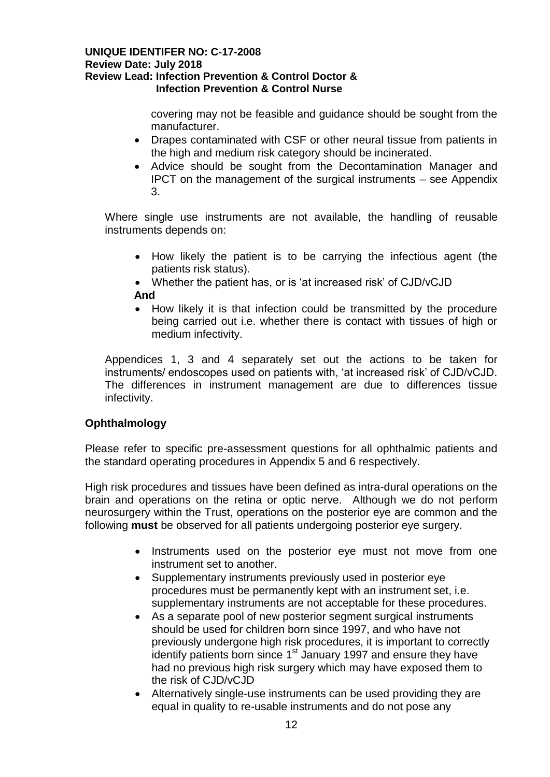covering may not be feasible and guidance should be sought from the manufacturer.

- Drapes contaminated with CSF or other neural tissue from patients in the high and medium risk category should be incinerated.
- Advice should be sought from the Decontamination Manager and IPCT on the management of the surgical instruments – see Appendix 3.

Where single use instruments are not available, the handling of reusable instruments depends on:

- How likely the patient is to be carrying the infectious agent (the patients risk status).
- Whether the patient has, or is 'at increased risk' of CJD/vCJD  **And**
- How likely it is that infection could be transmitted by the procedure being carried out i.e. whether there is contact with tissues of high or medium infectivity.

Appendices 1, 3 and 4 separately set out the actions to be taken for instruments/ endoscopes used on patients with, 'at increased risk' of CJD/vCJD. The differences in instrument management are due to differences tissue infectivity.

# **Ophthalmology**

Please refer to specific pre-assessment questions for all ophthalmic patients and the standard operating procedures in Appendix 5 and 6 respectively.

High risk procedures and tissues have been defined as intra-dural operations on the brain and operations on the retina or optic nerve. Although we do not perform neurosurgery within the Trust, operations on the posterior eye are common and the following **must** be observed for all patients undergoing posterior eye surgery.

- Instruments used on the posterior eve must not move from one instrument set to another.
- Supplementary instruments previously used in posterior eye procedures must be permanently kept with an instrument set, i.e. supplementary instruments are not acceptable for these procedures.
- As a separate pool of new posterior segment surgical instruments should be used for children born since 1997, and who have not previously undergone high risk procedures, it is important to correctly identify patients born since 1<sup>st</sup> January 1997 and ensure they have had no previous high risk surgery which may have exposed them to the risk of CJD/vCJD
- Alternatively single-use instruments can be used providing they are equal in quality to re-usable instruments and do not pose any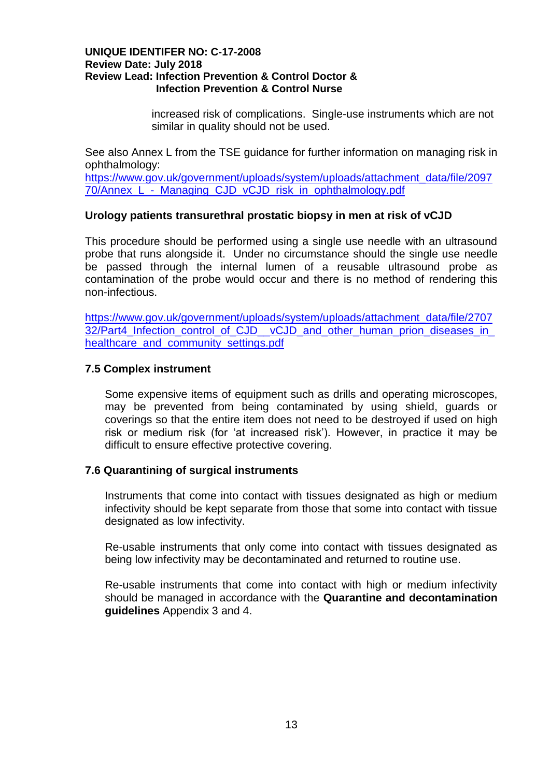increased risk of complications. Single-use instruments which are not similar in quality should not be used.

See also Annex L from the TSE guidance for further information on managing risk in ophthalmology:

[https://www.gov.uk/government/uploads/system/uploads/attachment\\_data/file/2097](https://www.gov.uk/government/uploads/system/uploads/attachment_data/file/209770/Annex_L_-_Managing_CJD_vCJD_risk_in_ophthalmology.pdf) 70/Annex L - Managing CJD vCJD risk in ophthalmology.pdf

## **Urology patients transurethral prostatic biopsy in men at risk of vCJD**

This procedure should be performed using a single use needle with an ultrasound probe that runs alongside it. Under no circumstance should the single use needle be passed through the internal lumen of a reusable ultrasound probe as contamination of the probe would occur and there is no method of rendering this non-infectious.

[https://www.gov.uk/government/uploads/system/uploads/attachment\\_data/file/2707](https://www.gov.uk/government/uploads/system/uploads/attachment_data/file/270732/Part4_Infection_control_of_CJD__vCJD_and_other_human_prion_diseases_in_healthcare_and_community_settings.pdf) [32/Part4\\_Infection\\_control\\_of\\_CJD\\_\\_vCJD\\_and\\_other\\_human\\_prion\\_diseases\\_in\\_](https://www.gov.uk/government/uploads/system/uploads/attachment_data/file/270732/Part4_Infection_control_of_CJD__vCJD_and_other_human_prion_diseases_in_healthcare_and_community_settings.pdf) healthcare and community settings.pdf

## **7.5 Complex instrument**

Some expensive items of equipment such as drills and operating microscopes, may be prevented from being contaminated by using shield, guards or coverings so that the entire item does not need to be destroyed if used on high risk or medium risk (for 'at increased risk'). However, in practice it may be difficult to ensure effective protective covering.

#### **7.6 Quarantining of surgical instruments**

Instruments that come into contact with tissues designated as high or medium infectivity should be kept separate from those that some into contact with tissue designated as low infectivity.

Re-usable instruments that only come into contact with tissues designated as being low infectivity may be decontaminated and returned to routine use.

Re-usable instruments that come into contact with high or medium infectivity should be managed in accordance with the **Quarantine and decontamination guidelines** Appendix 3 and 4.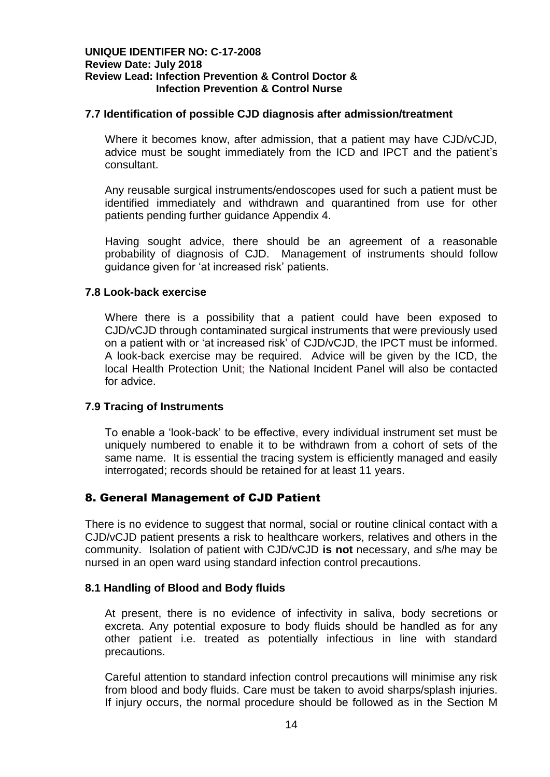## **7.7 Identification of possible CJD diagnosis after admission/treatment**

Where it becomes know, after admission, that a patient may have CJD/vCJD, advice must be sought immediately from the ICD and IPCT and the patient's consultant.

Any reusable surgical instruments/endoscopes used for such a patient must be identified immediately and withdrawn and quarantined from use for other patients pending further guidance Appendix 4.

Having sought advice, there should be an agreement of a reasonable probability of diagnosis of CJD. Management of instruments should follow guidance given for 'at increased risk' patients.

## **7.8 Look-back exercise**

Where there is a possibility that a patient could have been exposed to CJD/vCJD through contaminated surgical instruments that were previously used on a patient with or 'at increased risk' of CJD/vCJD, the IPCT must be informed. A look-back exercise may be required. Advice will be given by the ICD, the local Health Protection Unit; the National Incident Panel will also be contacted for advice.

## **7.9 Tracing of Instruments**

To enable a 'look-back' to be effective, every individual instrument set must be uniquely numbered to enable it to be withdrawn from a cohort of sets of the same name. It is essential the tracing system is efficiently managed and easily interrogated; records should be retained for at least 11 years.

## 8. General Management of CJD Patient

There is no evidence to suggest that normal, social or routine clinical contact with a CJD/vCJD patient presents a risk to healthcare workers, relatives and others in the community. Isolation of patient with CJD/vCJD **is not** necessary, and s/he may be nursed in an open ward using standard infection control precautions.

## **8.1 Handling of Blood and Body fluids**

At present, there is no evidence of infectivity in saliva, body secretions or excreta. Any potential exposure to body fluids should be handled as for any other patient i.e. treated as potentially infectious in line with standard precautions.

Careful attention to standard infection control precautions will minimise any risk from blood and body fluids. Care must be taken to avoid sharps/splash injuries. If injury occurs, the normal procedure should be followed as in the Section M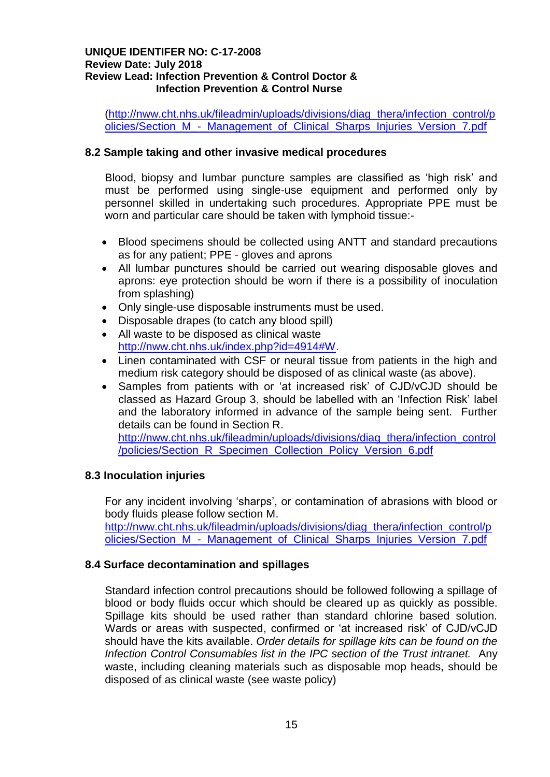[\(http://nww.cht.nhs.uk/fileadmin/uploads/divisions/diag\\_thera/infection\\_control/p](http://nww.cht.nhs.uk/fileadmin/uploads/divisions/diag_thera/infection_control/policies/Section_M_-_Management_of_Clinical_Sharps_Injuries_Version_7.pdf) [olicies/Section\\_M\\_-\\_Management\\_of\\_Clinical\\_Sharps\\_Injuries\\_Version\\_7.pdf](http://nww.cht.nhs.uk/fileadmin/uploads/divisions/diag_thera/infection_control/policies/Section_M_-_Management_of_Clinical_Sharps_Injuries_Version_7.pdf)

## **8.2 Sample taking and other invasive medical procedures**

Blood, biopsy and lumbar puncture samples are classified as 'high risk' and must be performed using single-use equipment and performed only by personnel skilled in undertaking such procedures. Appropriate PPE must be worn and particular care should be taken with lymphoid tissue:-

- Blood specimens should be collected using ANTT and standard precautions as for any patient; PPE - gloves and aprons
- All lumbar punctures should be carried out wearing disposable gloves and aprons: eye protection should be worn if there is a possibility of inoculation from splashing)
- Only single-use disposable instruments must be used.
- Disposable drapes (to catch any blood spill)
- All waste to be disposed as clinical waste [http://nww.cht.nhs.uk/index.php?id=4914#W.](http://nww.cht.nhs.uk/index.php?id=4914#W)
- Linen contaminated with CSF or neural tissue from patients in the high and medium risk category should be disposed of as clinical waste (as above).
- Samples from patients with or 'at increased risk' of CJD/vCJD should be classed as Hazard Group 3, should be labelled with an 'Infection Risk' label and the laboratory informed in advance of the sample being sent. Further details can be found in Section R.

[http://nww.cht.nhs.uk/fileadmin/uploads/divisions/diag\\_thera/infection\\_control](http://nww.cht.nhs.uk/fileadmin/uploads/divisions/diag_thera/infection_control/policies/Section_R_Specimen_Collection_Policy_Version_6.pdf) [/policies/Section\\_R\\_Specimen\\_Collection\\_Policy\\_Version\\_6.pdf](http://nww.cht.nhs.uk/fileadmin/uploads/divisions/diag_thera/infection_control/policies/Section_R_Specimen_Collection_Policy_Version_6.pdf)

## **8.3 Inoculation injuries**

For any incident involving 'sharps', or contamination of abrasions with blood or body fluids please follow section M.

[http://nww.cht.nhs.uk/fileadmin/uploads/divisions/diag\\_thera/infection\\_control/p](http://nww.cht.nhs.uk/fileadmin/uploads/divisions/diag_thera/infection_control/policies/Section_M_-_Management_of_Clinical_Sharps_Injuries_Version_7.pdf) [olicies/Section\\_M\\_-\\_Management\\_of\\_Clinical\\_Sharps\\_Injuries\\_Version\\_7.pdf](http://nww.cht.nhs.uk/fileadmin/uploads/divisions/diag_thera/infection_control/policies/Section_M_-_Management_of_Clinical_Sharps_Injuries_Version_7.pdf)

## **8.4 Surface decontamination and spillages**

Standard infection control precautions should be followed following a spillage of blood or body fluids occur which should be cleared up as quickly as possible. Spillage kits should be used rather than standard chlorine based solution. Wards or areas with suspected, confirmed or 'at increased risk' of CJD/vCJD should have the kits available. *Order details for spillage kits can be found on the Infection Control Consumables list in the IPC section of the Trust intranet.* Any waste, including cleaning materials such as disposable mop heads, should be disposed of as clinical waste (see waste policy)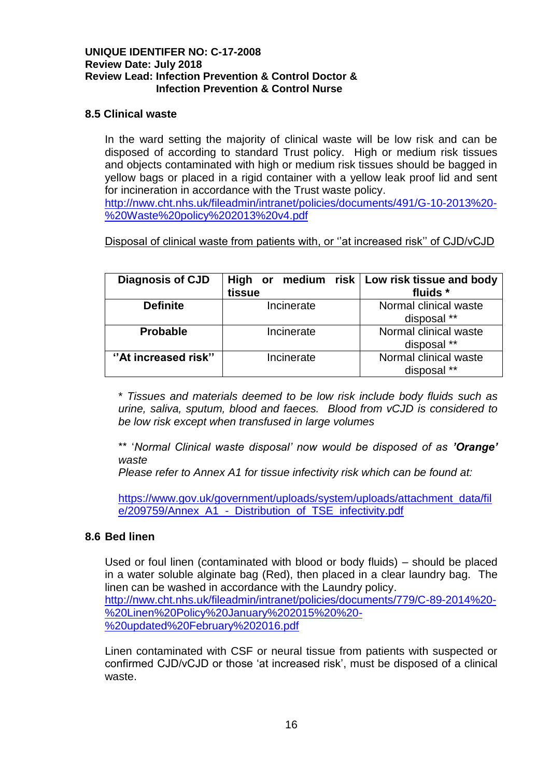## **8.5 Clinical waste**

In the ward setting the majority of clinical waste will be low risk and can be disposed of according to standard Trust policy. High or medium risk tissues and objects contaminated with high or medium risk tissues should be bagged in yellow bags or placed in a rigid container with a yellow leak proof lid and sent for incineration in accordance with the Trust waste policy.

[http://nww.cht.nhs.uk/fileadmin/intranet/policies/documents/491/G-10-2013%20-](http://nww.cht.nhs.uk/fileadmin/intranet/policies/documents/491/G-10-2013%20-%20Waste%20policy%202013%20v4.pdf) [%20Waste%20policy%202013%20v4.pdf](http://nww.cht.nhs.uk/fileadmin/intranet/policies/documents/491/G-10-2013%20-%20Waste%20policy%202013%20v4.pdf)

Disposal of clinical waste from patients with, or ''at increased risk'' of CJD/vCJD

| <b>Diagnosis of CJD</b> | tissue     | High or medium risk   Low risk tissue and body<br>fluids * |
|-------------------------|------------|------------------------------------------------------------|
| <b>Definite</b>         | Incinerate | Normal clinical waste                                      |
|                         |            | disposal **                                                |
| <b>Probable</b>         | Incinerate | Normal clinical waste                                      |
|                         |            | disposal **                                                |
| "At increased risk"     | Incinerate | Normal clinical waste                                      |
|                         |            | disposal **                                                |

\* *Tissues and materials deemed to be low risk include body fluids such as urine, saliva, sputum, blood and faeces. Blood from vCJD is considered to be low risk except when transfused in large volumes*

\*\* '*Normal Clinical waste disposal' now would be disposed of as 'Orange' waste*

*Please refer to Annex A1 for tissue infectivity risk which can be found at:* 

[https://www.gov.uk/government/uploads/system/uploads/attachment\\_data/fil](https://www.gov.uk/government/uploads/system/uploads/attachment_data/file/209759/Annex_A1_-_Distribution_of_TSE_infectivity.pdf) [e/209759/Annex\\_A1\\_-\\_Distribution\\_of\\_TSE\\_infectivity.pdf](https://www.gov.uk/government/uploads/system/uploads/attachment_data/file/209759/Annex_A1_-_Distribution_of_TSE_infectivity.pdf)

## **8.6 Bed linen**

Used or foul linen (contaminated with blood or body fluids) – should be placed in a water soluble alginate bag (Red), then placed in a clear laundry bag. The linen can be washed in accordance with the Laundry policy. [http://nww.cht.nhs.uk/fileadmin/intranet/policies/documents/779/C-89-2014%20-](http://nww.cht.nhs.uk/fileadmin/intranet/policies/documents/779/C-89-2014%20-%20Linen%20Policy%20January%202015%20%20-%20updated%20February%202016.pdf) [%20Linen%20Policy%20January%202015%20%20-](http://nww.cht.nhs.uk/fileadmin/intranet/policies/documents/779/C-89-2014%20-%20Linen%20Policy%20January%202015%20%20-%20updated%20February%202016.pdf) [%20updated%20February%202016.pdf](http://nww.cht.nhs.uk/fileadmin/intranet/policies/documents/779/C-89-2014%20-%20Linen%20Policy%20January%202015%20%20-%20updated%20February%202016.pdf)

Linen contaminated with CSF or neural tissue from patients with suspected or confirmed CJD/vCJD or those 'at increased risk', must be disposed of a clinical waste.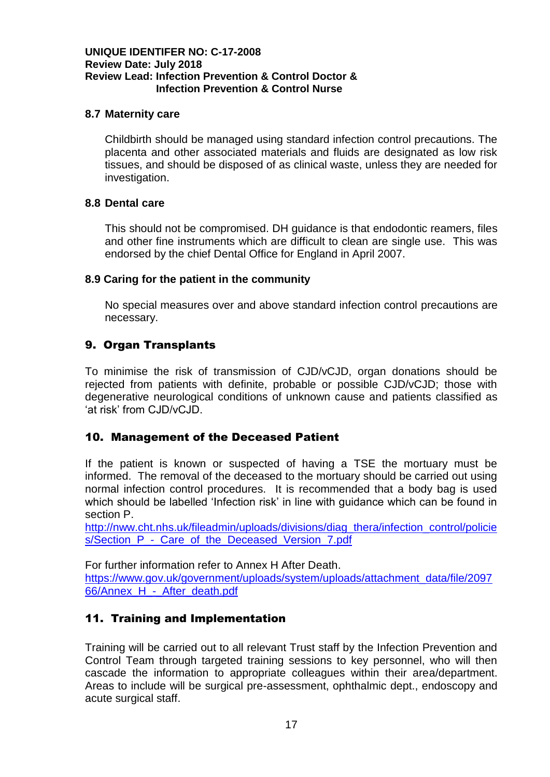## **8.7 Maternity care**

Childbirth should be managed using standard infection control precautions. The placenta and other associated materials and fluids are designated as low risk tissues, and should be disposed of as clinical waste, unless they are needed for investigation.

## **8.8 Dental care**

This should not be compromised. DH guidance is that endodontic reamers, files and other fine instruments which are difficult to clean are single use. This was endorsed by the chief Dental Office for England in April 2007.

## **8.9 Caring for the patient in the community**

No special measures over and above standard infection control precautions are necessary.

## 9. Organ Transplants

To minimise the risk of transmission of CJD/vCJD, organ donations should be rejected from patients with definite, probable or possible CJD/vCJD; those with degenerative neurological conditions of unknown cause and patients classified as 'at risk' from CJD/vCJD.

## 10. Management of the Deceased Patient

If the patient is known or suspected of having a TSE the mortuary must be informed. The removal of the deceased to the mortuary should be carried out using normal infection control procedures. It is recommended that a body bag is used which should be labelled 'Infection risk' in line with guidance which can be found in section P.

[http://nww.cht.nhs.uk/fileadmin/uploads/divisions/diag\\_thera/infection\\_control/policie](http://nww.cht.nhs.uk/fileadmin/uploads/divisions/diag_thera/infection_control/policies/Section_P_-_Care_of_the_Deceased_Version_7.pdf) s/Section P - Care of the Deceased Version 7.pdf

For further information refer to Annex H After Death. [https://www.gov.uk/government/uploads/system/uploads/attachment\\_data/file/2097](https://www.gov.uk/government/uploads/system/uploads/attachment_data/file/209766/Annex_H_-_After_death.pdf) [66/Annex\\_H\\_-\\_After\\_death.pdf](https://www.gov.uk/government/uploads/system/uploads/attachment_data/file/209766/Annex_H_-_After_death.pdf)

# 11. Training and Implementation

Training will be carried out to all relevant Trust staff by the Infection Prevention and Control Team through targeted training sessions to key personnel, who will then cascade the information to appropriate colleagues within their area/department. Areas to include will be surgical pre-assessment, ophthalmic dept., endoscopy and acute surgical staff.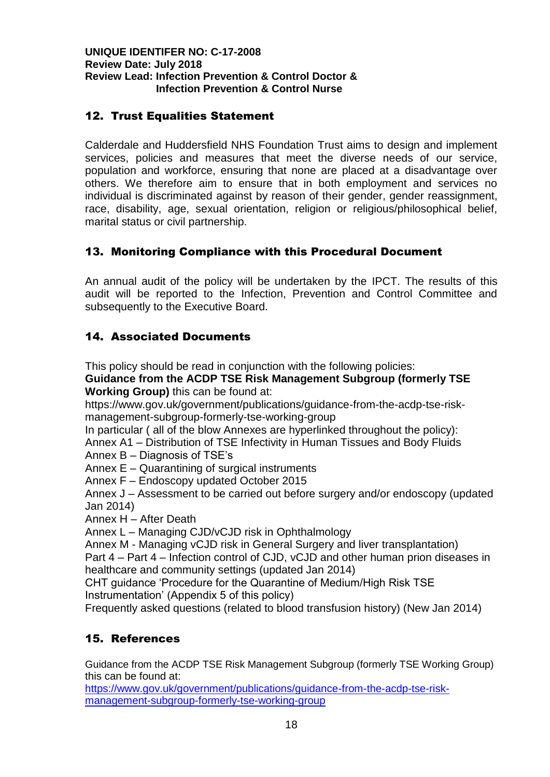# 12. Trust Equalities Statement

Calderdale and Huddersfield NHS Foundation Trust aims to design and implement services, policies and measures that meet the diverse needs of our service, population and workforce, ensuring that none are placed at a disadvantage over others. We therefore aim to ensure that in both employment and services no individual is discriminated against by reason of their gender, gender reassignment, race, disability, age, sexual orientation, religion or religious/philosophical belief, marital status or civil partnership.

# 13. Monitoring Compliance with this Procedural Document

An annual audit of the policy will be undertaken by the IPCT. The results of this audit will be reported to the Infection, Prevention and Control Committee and subsequently to the Executive Board.

# 14. Associated Documents

This policy should be read in conjunction with the following policies:

**Guidance from the ACDP TSE Risk Management Subgroup (formerly TSE Working Group)** this can be found at:

https://www.gov.uk/government/publications/guidance-from-the-acdp-tse-riskmanagement-subgroup-formerly-tse-working-group

In particular ( all of the blow Annexes are hyperlinked throughout the policy):

Annex A1 – Distribution of TSE Infectivity in Human Tissues and Body Fluids Annex B – Diagnosis of TSE's

Annex E – Quarantining of surgical instruments

Annex F – Endoscopy updated October 2015

Annex J – Assessment to be carried out before surgery and/or endoscopy (updated Jan 2014)

Annex H – After Death

Annex L – Managing CJD/vCJD risk in Ophthalmology

Annex M - Managing vCJD risk in General Surgery and liver transplantation)

Part 4 – Part 4 – Infection control of CJD, vCJD and other human prion diseases in healthcare and community settings (updated Jan 2014)

CHT guidance 'Procedure for the Quarantine of Medium/High Risk TSE Instrumentation' (Appendix 5 of this policy)

Frequently asked questions (related to blood transfusion history) (New Jan 2014)

# 15. References

Guidance from the ACDP TSE Risk Management Subgroup (formerly TSE Working Group) this can be found at:

[https://www.gov.uk/government/publications/guidance-from-the-acdp-tse-risk](https://www.gov.uk/government/publications/guidance-from-the-acdp-tse-risk-management-subgroup-formerly-tse-working-group)[management-subgroup-formerly-tse-working-group](https://www.gov.uk/government/publications/guidance-from-the-acdp-tse-risk-management-subgroup-formerly-tse-working-group)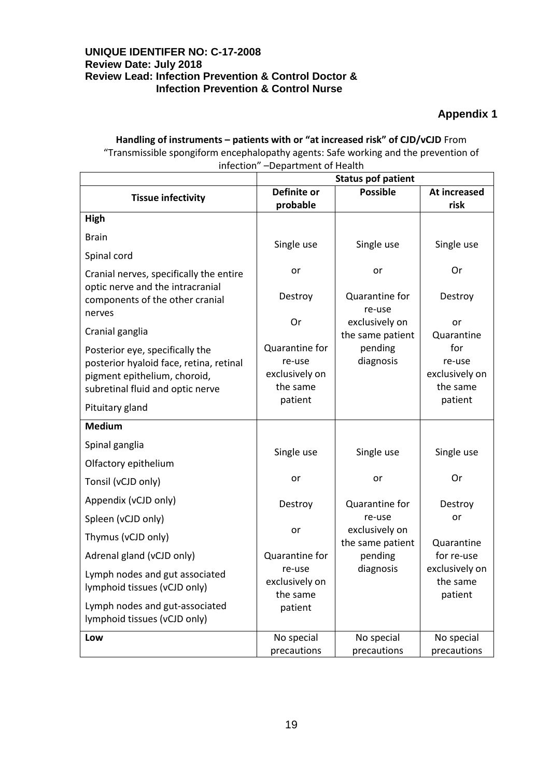# **Appendix 1**

#### **Handling of instruments – patients with or "at increased risk" of CJD/vCJD** From "Transmissible spongiform encephalopathy agents: Safe working and the prevention of infection" –Department of Health

|                                                                     |                     | <b>Status pof patient</b>   |                          |
|---------------------------------------------------------------------|---------------------|-----------------------------|--------------------------|
| <b>Tissue infectivity</b>                                           | <b>Definite or</b>  | <b>Possible</b>             | At increased             |
| High                                                                | probable            |                             | risk                     |
|                                                                     |                     |                             |                          |
| <b>Brain</b>                                                        | Single use          | Single use                  | Single use               |
| Spinal cord                                                         |                     |                             |                          |
| Cranial nerves, specifically the entire                             | or                  | or                          | Or                       |
| optic nerve and the intracranial<br>components of the other cranial | Destroy             | Quarantine for              | Destroy                  |
| nerves                                                              |                     | re-use                      |                          |
| Cranial ganglia                                                     | Or                  | exclusively on              | or                       |
| Posterior eye, specifically the                                     | Quarantine for      | the same patient<br>pending | Quarantine<br>for        |
| posterior hyaloid face, retina, retinal                             | re-use              | diagnosis                   | re-use                   |
| pigment epithelium, choroid,                                        | exclusively on      |                             | exclusively on           |
| subretinal fluid and optic nerve                                    | the same<br>patient |                             | the same<br>patient      |
| Pituitary gland                                                     |                     |                             |                          |
| <b>Medium</b>                                                       |                     |                             |                          |
| Spinal ganglia                                                      | Single use          | Single use                  | Single use               |
| Olfactory epithelium                                                |                     |                             |                          |
| Tonsil (vCJD only)                                                  | or                  | or                          | Or                       |
| Appendix (vCJD only)                                                | Destroy             | Quarantine for              | Destroy                  |
| Spleen (vCJD only)                                                  |                     | re-use                      | or                       |
| Thymus (vCJD only)                                                  | or                  | exclusively on              |                          |
| Adrenal gland (vCJD only)                                           | Quarantine for      | the same patient<br>pending | Quarantine<br>for re-use |
| Lymph nodes and gut associated                                      | re-use              | diagnosis                   | exclusively on           |
| lymphoid tissues (vCJD only)                                        | exclusively on      |                             | the same                 |
| Lymph nodes and gut-associated                                      | the same<br>patient |                             | patient                  |
| lymphoid tissues (vCJD only)                                        |                     |                             |                          |
| Low                                                                 | No special          | No special                  | No special               |
|                                                                     | precautions         | precautions                 | precautions              |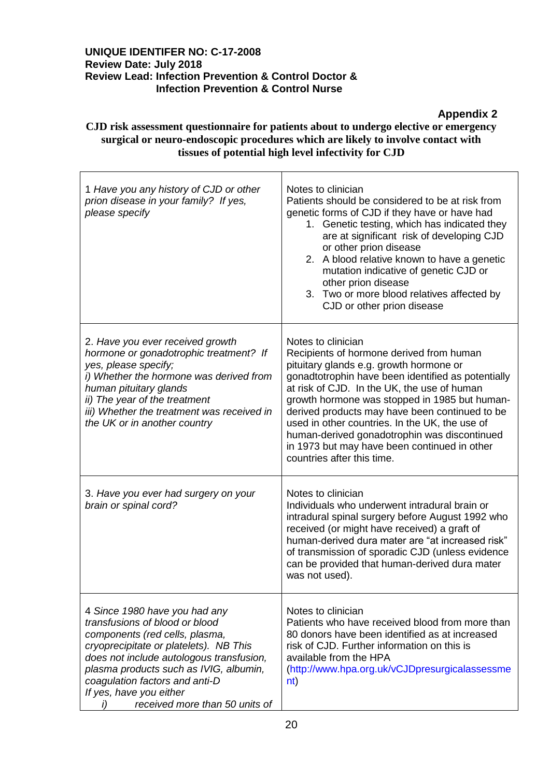**Appendix 2**

## **CJD risk assessment questionnaire for patients about to undergo elective or emergency surgical or neuro-endoscopic procedures which are likely to involve contact with tissues of potential high level infectivity for CJD**

| 1 Have you any history of CJD or other<br>prion disease in your family? If yes,<br>please specify                                                                                                                                                                                                                                      | Notes to clinician<br>Patients should be considered to be at risk from<br>genetic forms of CJD if they have or have had<br>1. Genetic testing, which has indicated they<br>are at significant risk of developing CJD<br>or other prion disease<br>2. A blood relative known to have a genetic<br>mutation indicative of genetic CJD or<br>other prion disease<br>3. Two or more blood relatives affected by<br>CJD or other prion disease                                                         |
|----------------------------------------------------------------------------------------------------------------------------------------------------------------------------------------------------------------------------------------------------------------------------------------------------------------------------------------|---------------------------------------------------------------------------------------------------------------------------------------------------------------------------------------------------------------------------------------------------------------------------------------------------------------------------------------------------------------------------------------------------------------------------------------------------------------------------------------------------|
| 2. Have you ever received growth<br>hormone or gonadotrophic treatment? If<br>yes, please specify;<br>i) Whether the hormone was derived from<br>human pituitary glands<br>ii) The year of the treatment<br>iii) Whether the treatment was received in<br>the UK or in another country                                                 | Notes to clinician<br>Recipients of hormone derived from human<br>pituitary glands e.g. growth hormone or<br>gonadtotrophin have been identified as potentially<br>at risk of CJD. In the UK, the use of human<br>growth hormone was stopped in 1985 but human-<br>derived products may have been continued to be<br>used in other countries. In the UK, the use of<br>human-derived gonadotrophin was discontinued<br>in 1973 but may have been continued in other<br>countries after this time. |
| 3. Have you ever had surgery on your<br>brain or spinal cord?                                                                                                                                                                                                                                                                          | Notes to clinician<br>Individuals who underwent intradural brain or<br>intradural spinal surgery before August 1992 who<br>received (or might have received) a graft of<br>human-derived dura mater are "at increased risk"<br>of transmission of sporadic CJD (unless evidence<br>can be provided that human-derived dura mater<br>was not used).                                                                                                                                                |
| 4 Since 1980 have you had any<br>transfusions of blood or blood<br>components (red cells, plasma,<br>cryoprecipitate or platelets). NB This<br>does not include autologous transfusion,<br>plasma products such as IVIG, albumin,<br>coagulation factors and anti-D<br>If yes, have you either<br>received more than 50 units of<br>j) | Notes to clinician<br>Patients who have received blood from more than<br>80 donors have been identified as at increased<br>risk of CJD. Further information on this is<br>available from the HPA<br>(http://www.hpa.org.uk/vCJDpresurgicalassessme<br>nt)                                                                                                                                                                                                                                         |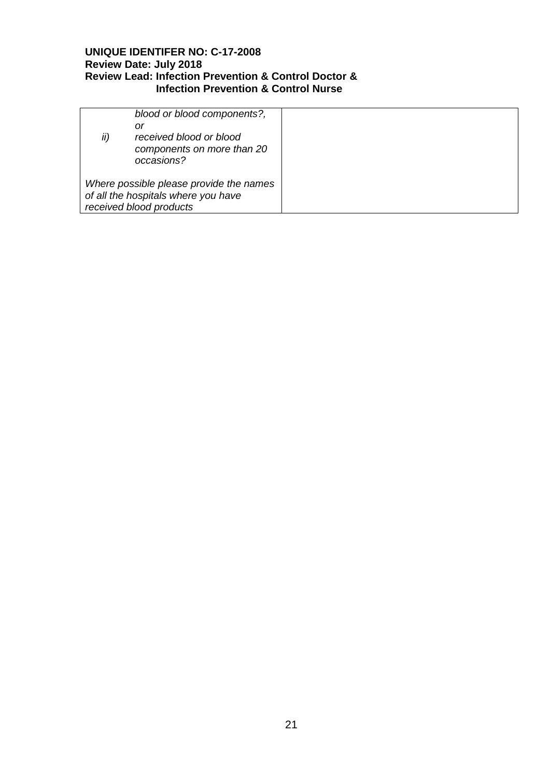| blood or blood components?,<br>or<br>ii)<br>received blood or blood<br>components on more than 20<br>occasions? |
|-----------------------------------------------------------------------------------------------------------------|
| Where possible please provide the names<br>of all the hospitals where you have<br>received blood products       |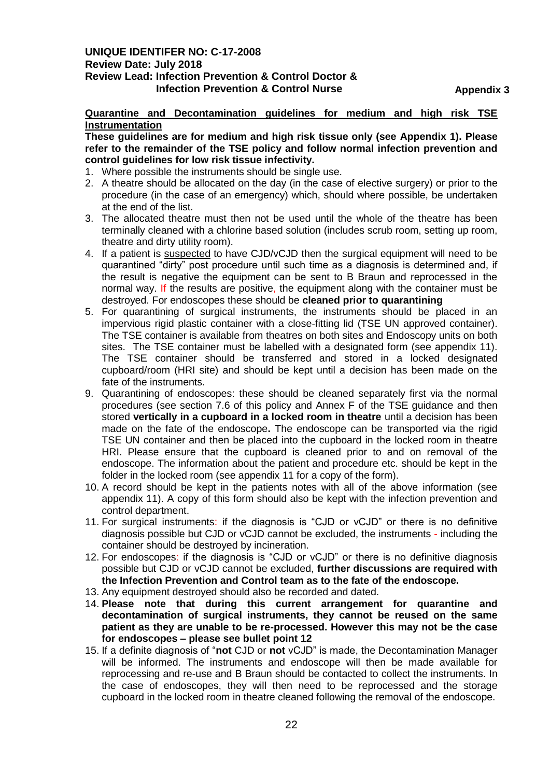**Appendix 3**

#### **Quarantine and Decontamination guidelines for medium and high risk TSE Instrumentation**

**These guidelines are for medium and high risk tissue only (see Appendix 1). Please refer to the remainder of the TSE policy and follow normal infection prevention and control guidelines for low risk tissue infectivity.** 

- 1. Where possible the instruments should be single use.
- 2. A theatre should be allocated on the day (in the case of elective surgery) or prior to the procedure (in the case of an emergency) which, should where possible, be undertaken at the end of the list.
- 3. The allocated theatre must then not be used until the whole of the theatre has been terminally cleaned with a chlorine based solution (includes scrub room, setting up room, theatre and dirty utility room).
- 4. If a patient is suspected to have CJD/vCJD then the surgical equipment will need to be quarantined "dirty" post procedure until such time as a diagnosis is determined and, if the result is negative the equipment can be sent to B Braun and reprocessed in the normal way. If the results are positive, the equipment along with the container must be destroyed. For endoscopes these should be **cleaned prior to quarantining**
- 5. For quarantining of surgical instruments, the instruments should be placed in an impervious rigid plastic container with a close-fitting lid (TSE UN approved container). The TSE container is available from theatres on both sites and Endoscopy units on both sites. The TSE container must be labelled with a designated form (see appendix 11). The TSE container should be transferred and stored in a locked designated cupboard/room (HRI site) and should be kept until a decision has been made on the fate of the instruments.
- 9. Quarantining of endoscopes: these should be cleaned separately first via the normal procedures (see section 7.6 of this policy and Annex F of the TSE guidance and then stored **vertically in a cupboard in a locked room in theatre** until a decision has been made on the fate of the endoscope**.** The endoscope can be transported via the rigid TSE UN container and then be placed into the cupboard in the locked room in theatre HRI. Please ensure that the cupboard is cleaned prior to and on removal of the endoscope. The information about the patient and procedure etc. should be kept in the folder in the locked room (see appendix 11 for a copy of the form).
- 10. A record should be kept in the patients notes with all of the above information (see appendix 11). A copy of this form should also be kept with the infection prevention and control department.
- 11. For surgical instruments: if the diagnosis is "CJD or vCJD" or there is no definitive diagnosis possible but CJD or vCJD cannot be excluded, the instruments - including the container should be destroyed by incineration.
- 12. For endoscopes: if the diagnosis is "CJD or vCJD" or there is no definitive diagnosis possible but CJD or vCJD cannot be excluded, **further discussions are required with the Infection Prevention and Control team as to the fate of the endoscope.**
- 13. Any equipment destroyed should also be recorded and dated.
- 14. **Please note that during this current arrangement for quarantine and decontamination of surgical instruments, they cannot be reused on the same patient as they are unable to be re-processed. However this may not be the case for endoscopes – please see bullet point 12**
- 15. If a definite diagnosis of "**not** CJD or **not** vCJD" is made, the Decontamination Manager will be informed. The instruments and endoscope will then be made available for reprocessing and re-use and B Braun should be contacted to collect the instruments. In the case of endoscopes, they will then need to be reprocessed and the storage cupboard in the locked room in theatre cleaned following the removal of the endoscope.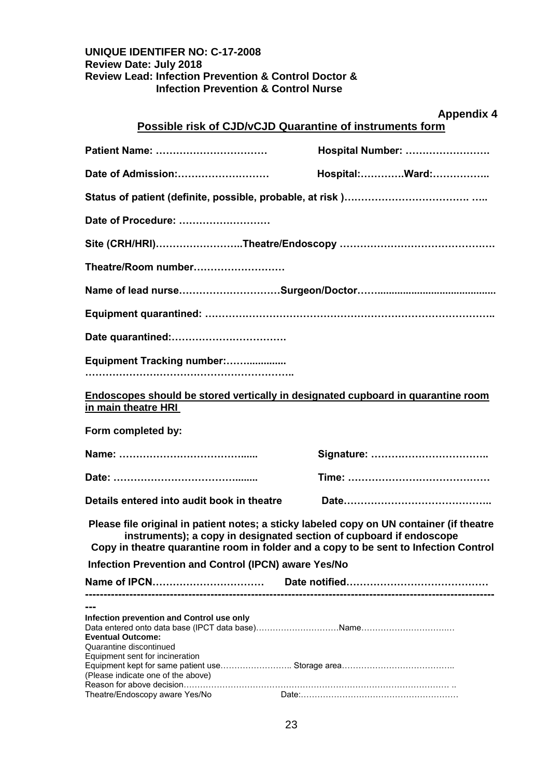|                                                                                                         | <b>Appendix 4</b><br>Possible risk of CJD/vCJD Quarantine of instruments form                                                                                                                                                                           |
|---------------------------------------------------------------------------------------------------------|---------------------------------------------------------------------------------------------------------------------------------------------------------------------------------------------------------------------------------------------------------|
|                                                                                                         |                                                                                                                                                                                                                                                         |
| Patient Name:                                                                                           | Hospital Number:                                                                                                                                                                                                                                        |
| Date of Admission:                                                                                      | Hospital:Ward:                                                                                                                                                                                                                                          |
|                                                                                                         |                                                                                                                                                                                                                                                         |
| Date of Procedure:                                                                                      |                                                                                                                                                                                                                                                         |
|                                                                                                         | Site (CRH/HRI)………………………Theatre/Endoscopy ………………………………………                                                                                                                                                                                                |
| Theatre/Room number                                                                                     |                                                                                                                                                                                                                                                         |
|                                                                                                         |                                                                                                                                                                                                                                                         |
|                                                                                                         |                                                                                                                                                                                                                                                         |
|                                                                                                         |                                                                                                                                                                                                                                                         |
| Equipment Tracking number:                                                                              |                                                                                                                                                                                                                                                         |
| Endoscopes should be stored vertically in designated cupboard in quarantine room<br>in main theatre HRI |                                                                                                                                                                                                                                                         |
| Form completed by:                                                                                      |                                                                                                                                                                                                                                                         |
|                                                                                                         |                                                                                                                                                                                                                                                         |
|                                                                                                         |                                                                                                                                                                                                                                                         |
| Details entered into audit book in theatre                                                              |                                                                                                                                                                                                                                                         |
|                                                                                                         | Please file original in patient notes; a sticky labeled copy on UN container (if theatre<br>instruments); a copy in designated section of cupboard if endoscope<br>Copy in theatre quarantine room in folder and a copy to be sent to Infection Control |
| <b>Infection Prevention and Control (IPCN) aware Yes/No</b>                                             |                                                                                                                                                                                                                                                         |
|                                                                                                         |                                                                                                                                                                                                                                                         |
|                                                                                                         |                                                                                                                                                                                                                                                         |
| Infection prevention and Control use only<br><b>Eventual Outcome:</b>                                   |                                                                                                                                                                                                                                                         |
| Quarantine discontinued<br>Equipment sent for incineration<br>(Please indicate one of the above)        |                                                                                                                                                                                                                                                         |
| Theatre/Endoscopy aware Yes/No                                                                          |                                                                                                                                                                                                                                                         |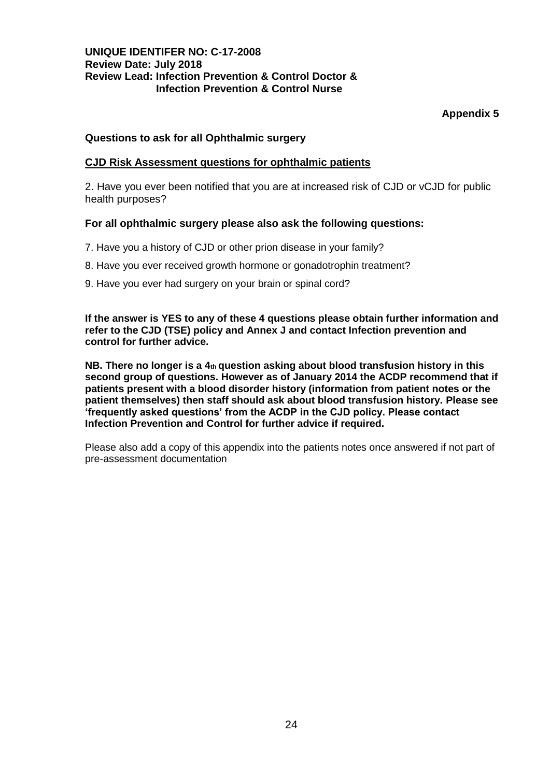## **Appendix 5**

#### **Questions to ask for all Ophthalmic surgery**

#### **CJD Risk Assessment questions for ophthalmic patients**

2. Have you ever been notified that you are at increased risk of CJD or vCJD for public health purposes?

#### **For all ophthalmic surgery please also ask the following questions:**

- 7. Have you a history of CJD or other prion disease in your family?
- 8. Have you ever received growth hormone or gonadotrophin treatment?
- 9. Have you ever had surgery on your brain or spinal cord?

**If the answer is YES to any of these 4 questions please obtain further information and refer to the CJD (TSE) policy and Annex J and contact Infection prevention and control for further advice.** 

**NB. There no longer is a 4th question asking about blood transfusion history in this second group of questions. However as of January 2014 the ACDP recommend that if patients present with a blood disorder history (information from patient notes or the patient themselves) then staff should ask about blood transfusion history. Please see 'frequently asked questions' from the ACDP in the CJD policy. Please contact Infection Prevention and Control for further advice if required.** 

Please also add a copy of this appendix into the patients notes once answered if not part of pre-assessment documentation